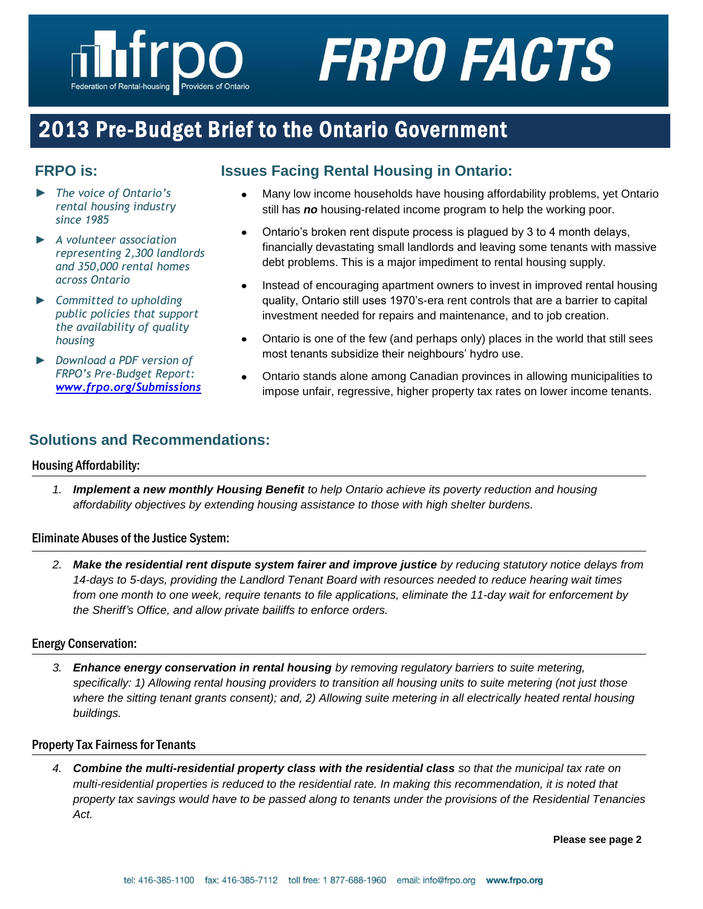# **FRPO FACTS**

# 2013 Pre-Budget Brief to the Ontario Government

# **FRPO is:**

- ► *The voice of Ontario's rental housing industry since 1985*
- *► A volunteer association representing 2,300 landlords and 350,000 rental homes across Ontario*
- *► Committed to upholding public policies that support the availability of quality housing*
- *► Download a PDF version of FRPO's Pre-Budget Report: [www.frpo.org/Submissions](http://www.frpo.org/Submissions)*

# **Issues Facing Rental Housing in Ontario:**

- Many low income households have housing affordability problems, yet Ontario still has *no* housing-related income program to help the working poor.
- Ontario's broken rent dispute process is plagued by 3 to 4 month delays,  $\bullet$ financially devastating small landlords and leaving some tenants with massive debt problems. This is a major impediment to rental housing supply.
- Instead of encouraging apartment owners to invest in improved rental housing  $\bullet$ quality, Ontario still uses 1970's-era rent controls that are a barrier to capital investment needed for repairs and maintenance, and to job creation.
- $\bullet$ Ontario is one of the few (and perhaps only) places in the world that still sees most tenants subsidize their neighbours' hydro use.
- Ontario stands alone among Canadian provinces in allowing municipalities to impose unfair, regressive, higher property tax rates on lower income tenants.

# **Solutions and Recommendations:**

# Housing Affordability:

*1. Implement a new monthly Housing Benefit to help Ontario achieve its poverty reduction and housing affordability objectives by extending housing assistance to those with high shelter burdens.*

# Eliminate Abuses of the Justice System:

*2. Make the residential rent dispute system fairer and improve justice by reducing statutory notice delays from 14-days to 5-days, providing the Landlord Tenant Board with resources needed to reduce hearing wait times from one month to one week, require tenants to file applications, eliminate the 11-day wait for enforcement by the Sheriff's Office, and allow private bailiffs to enforce orders.*

# Energy Conservation:

*3. Enhance energy conservation in rental housing by removing regulatory barriers to suite metering, specifically: 1) Allowing rental housing providers to transition all housing units to suite metering (not just those where the sitting tenant grants consent); and, 2) Allowing suite metering in all electrically heated rental housing buildings.*

#### Property Tax Fairness for Tenants

*4. Combine the multi-residential property class with the residential class so that the municipal tax rate on multi-residential properties is reduced to the residential rate. In making this recommendation, it is noted that property tax savings would have to be passed along to tenants under the provisions of the Residential Tenancies Act.*

**Please see page 2**